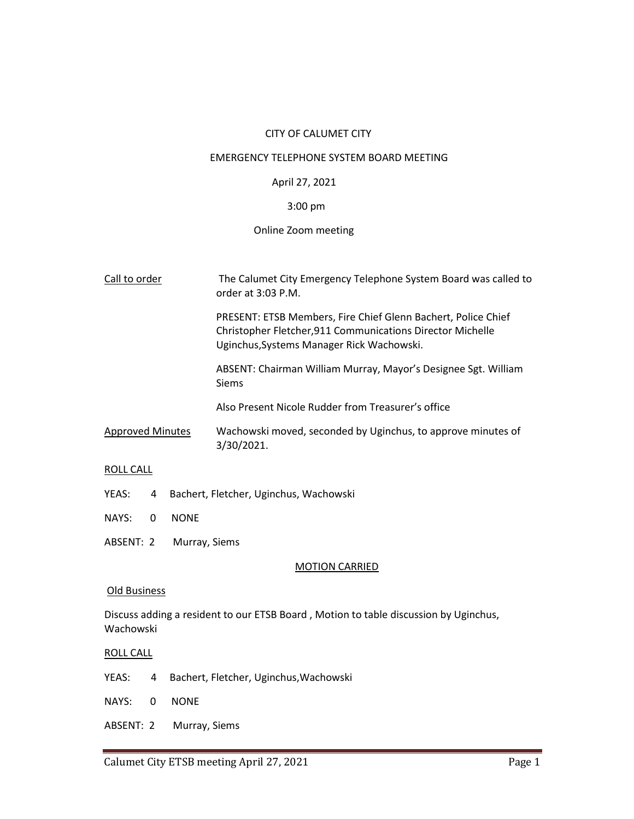# CITY OF CALUMET CITY

## EMERGENCY TELEPHONE SYSTEM BOARD MEETING

# April 27, 2021

# 3:00 pm

# Online Zoom meeting

| Call to order           | The Calumet City Emergency Telephone System Board was called to<br>order at $3:03$ P.M.                                                                                  |
|-------------------------|--------------------------------------------------------------------------------------------------------------------------------------------------------------------------|
|                         | PRESENT: ETSB Members, Fire Chief Glenn Bachert, Police Chief<br>Christopher Fletcher, 911 Communications Director Michelle<br>Uginchus, Systems Manager Rick Wachowski. |
|                         | ABSENT: Chairman William Murray, Mayor's Designee Sgt. William<br><b>Siems</b>                                                                                           |
|                         | Also Present Nicole Rudder from Treasurer's office                                                                                                                       |
| <b>Approved Minutes</b> | Wachowski moved, seconded by Uginchus, to approve minutes of<br>3/30/2021.                                                                                               |
| ROLL CALL               |                                                                                                                                                                          |
| YEAS:<br>4              | Bachert, Fletcher, Uginchus, Wachowski                                                                                                                                   |

- NAYS: 0 NONE
- ABSENT: 2 Murray, Siems

# MOTION CARRIED

#### Old Business

Discuss adding a resident to our ETSB Board , Motion to table discussion by Uginchus, Wachowski

#### ROLL CALL

- YEAS: 4 Bachert, Fletcher, Uginchus,Wachowski
- NAYS: 0 NONE
- ABSENT: 2 Murray, Siems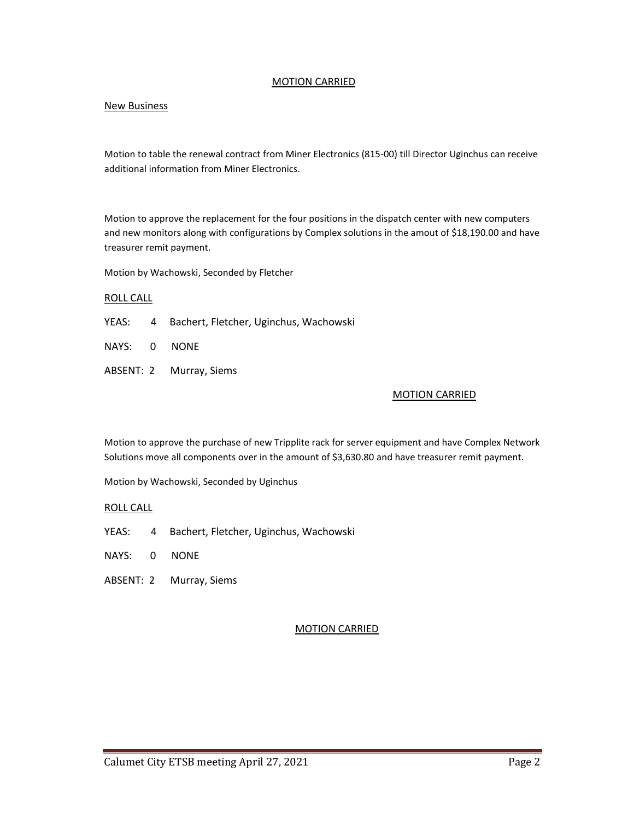# MOTION CARRIED

# New Business

Motion to table the renewal contract from Miner Electronics (815-00) till Director Uginchus can receive additional information from Miner Electronics.

Motion to approve the replacement for the four positions in the dispatch center with new computers and new monitors along with configurations by Complex solutions in the amout of \$18,190.00 and have treasurer remit payment.

Motion by Wachowski, Seconded by Fletcher

#### ROLL CALL

- YEAS: 4 Bachert, Fletcher, Uginchus, Wachowski
- NAYS: 0 NONE
- ABSENT: 2 Murray, Siems

#### MOTION CARRIED

Motion to approve the purchase of new Tripplite rack for server equipment and have Complex Network Solutions move all components over in the amount of \$3,630.80 and have treasurer remit payment.

Motion by Wachowski, Seconded by Uginchus

#### ROLL CALL

- YEAS: 4 Bachert, Fletcher, Uginchus, Wachowski
- NAYS: 0 NONE
- ABSENT: 2 Murray, Siems

#### MOTION CARRIED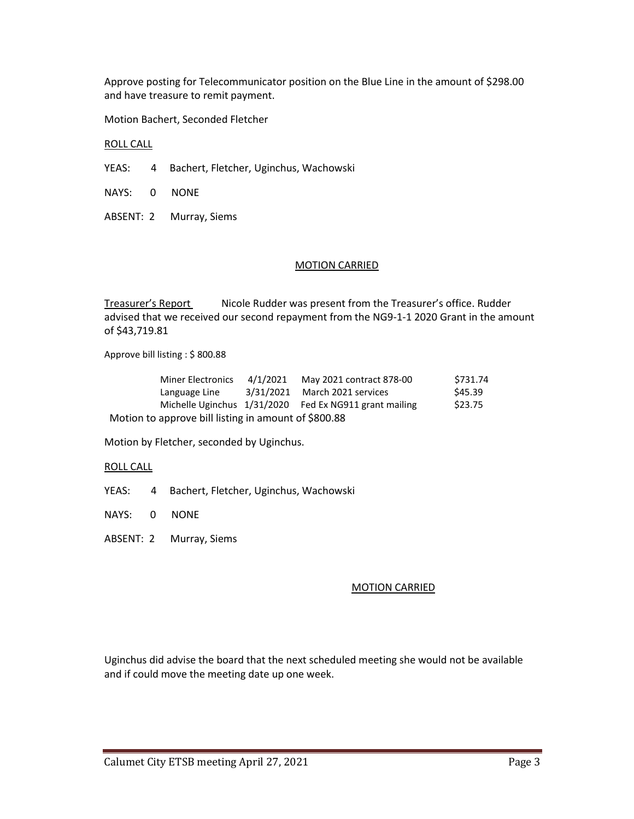Approve posting for Telecommunicator position on the Blue Line in the amount of \$298.00 and have treasure to remit payment.

Motion Bachert, Seconded Fletcher

ROLL CALL

- YEAS: 4 Bachert, Fletcher, Uginchus, Wachowski
- NAYS: 0 NONE
- ABSENT: 2 Murray, Siems

# MOTION CARRIED

Treasurer's Report Nicole Rudder was present from the Treasurer's office. Rudder advised that we received our second repayment from the NG9-1-1 2020 Grant in the amount of \$43,719.81

Approve bill listing : \$ 800.88

| <b>Miner Electronics</b>                             | 4/1/2021 | May 2021 contract 878-00                               | \$731.74 |
|------------------------------------------------------|----------|--------------------------------------------------------|----------|
| Language Line                                        |          | 3/31/2021 March 2021 services                          | \$45.39  |
|                                                      |          | Michelle Uginchus 1/31/2020 Fed Ex NG911 grant mailing | \$23.75  |
| Motion to approve bill listing in amount of \$800.88 |          |                                                        |          |

Motion by Fletcher, seconded by Uginchus.

ROLL CALL

YEAS: 4 Bachert, Fletcher, Uginchus, Wachowski

NAYS: 0 NONE

ABSENT: 2 Murray, Siems

#### MOTION CARRIED

Uginchus did advise the board that the next scheduled meeting she would not be available and if could move the meeting date up one week.